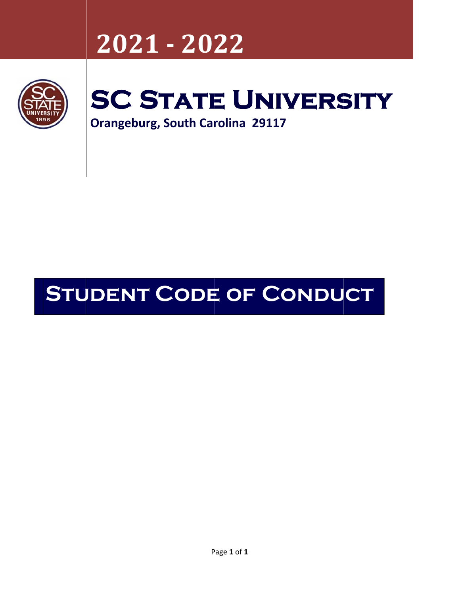## **20 21 ‐ 202 222**



# SC STATE UNIVERSITY

**Orangeburg, South Carolina 29117** 

## **STUDENT CODE OF CONDUCT**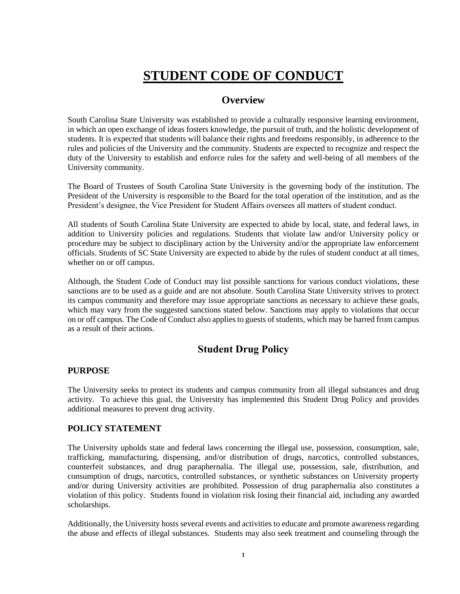## **STUDENT CODE OF CONDUCT**

## **Overview**

South Carolina State University was established to provide a culturally responsive learning environment, in which an open exchange of ideas fosters knowledge, the pursuit of truth, and the holistic development of students. It is expected that students will balance their rights and freedoms responsibly, in adherence to the rules and policies of the University and the community. Students are expected to recognize and respect the duty of the University to establish and enforce rules for the safety and well-being of all members of the University community.

The Board of Trustees of South Carolina State University is the governing body of the institution. The President of the University is responsible to the Board for the total operation of the institution, and as the President's designee, the Vice President for Student Affairs oversees all matters of student conduct.

All students of South Carolina State University are expected to abide by local, state, and federal laws, in addition to University policies and regulations. Students that violate law and/or University policy or procedure may be subject to disciplinary action by the University and/or the appropriate law enforcement officials. Students of SC State University are expected to abide by the rules of student conduct at all times, whether on or off campus.

Although, the Student Code of Conduct may list possible sanctions for various conduct violations, these sanctions are to be used as a guide and are not absolute. South Carolina State University strives to protect its campus community and therefore may issue appropriate sanctions as necessary to achieve these goals, which may vary from the suggested sanctions stated below. Sanctions may apply to violations that occur on or off campus. The Code of Conduct also applies to guests of students, which may be barred from campus as a result of their actions.

## **Student Drug Policy**

#### **PURPOSE**

The University seeks to protect its students and campus community from all illegal substances and drug activity. To achieve this goal, the University has implemented this Student Drug Policy and provides additional measures to prevent drug activity.

## **POLICY STATEMENT**

The University upholds state and federal laws concerning the illegal use, possession, consumption, sale, trafficking, manufacturing, dispensing, and/or distribution of drugs, narcotics, controlled substances, counterfeit substances, and drug paraphernalia. The illegal use, possession, sale, distribution, and consumption of drugs, narcotics, controlled substances, or synthetic substances on University property and/or during University activities are prohibited. Possession of drug paraphernalia also constitutes a violation of this policy. Students found in violation risk losing their financial aid, including any awarded scholarships.

Additionally, the University hosts several events and activities to educate and promote awareness regarding the abuse and effects of illegal substances. Students may also seek treatment and counseling through the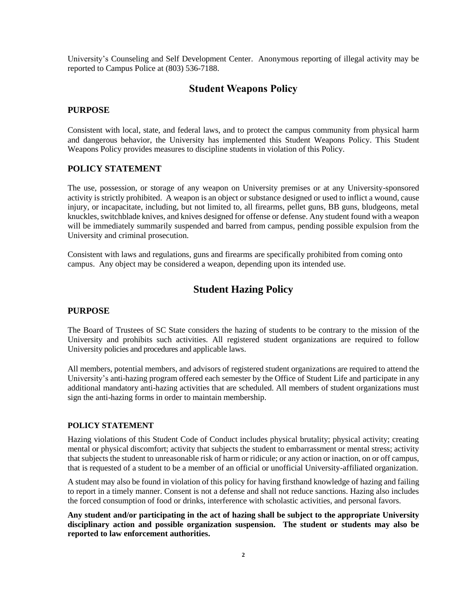University's Counseling and Self Development Center. Anonymous reporting of illegal activity may be reported to Campus Police at (803) 536-7188.

## **Student Weapons Policy**

#### **PURPOSE**

Consistent with local, state, and federal laws, and to protect the campus community from physical harm and dangerous behavior, the University has implemented this Student Weapons Policy. This Student Weapons Policy provides measures to discipline students in violation of this Policy.

#### **POLICY STATEMENT**

The use, possession, or storage of any weapon on University premises or at any University-sponsored activity is strictly prohibited. A weapon is an object or substance designed or used to inflict a wound, cause injury, or incapacitate, including, but not limited to, all firearms, pellet guns, BB guns, bludgeons, metal knuckles, switchblade knives, and knives designed for offense or defense. Any student found with a weapon will be immediately summarily suspended and barred from campus, pending possible expulsion from the University and criminal prosecution.

Consistent with laws and regulations, guns and firearms are specifically prohibited from coming onto campus. Any object may be considered a weapon, depending upon its intended use.

## **Student Hazing Policy**

#### **PURPOSE**

The Board of Trustees of SC State considers the hazing of students to be contrary to the mission of the University and prohibits such activities. All registered student organizations are required to follow University policies and procedures and applicable laws.

All members, potential members, and advisors of registered student organizations are required to attend the University's anti-hazing program offered each semester by the Office of Student Life and participate in any additional mandatory anti-hazing activities that are scheduled. All members of student organizations must sign the anti-hazing forms in order to maintain membership.

#### **POLICY STATEMENT**

Hazing violations of this Student Code of Conduct includes physical brutality; physical activity; creating mental or physical discomfort; activity that subjects the student to embarrassment or mental stress; activity that subjects the student to unreasonable risk of harm or ridicule; or any action or inaction, on or off campus, that is requested of a student to be a member of an official or unofficial University-affiliated organization.

A student may also be found in violation of this policy for having firsthand knowledge of hazing and failing to report in a timely manner. Consent is not a defense and shall not reduce sanctions. Hazing also includes the forced consumption of food or drinks, interference with scholastic activities, and personal favors.

**Any student and/or participating in the act of hazing shall be subject to the appropriate University disciplinary action and possible organization suspension. The student or students may also be reported to law enforcement authorities.**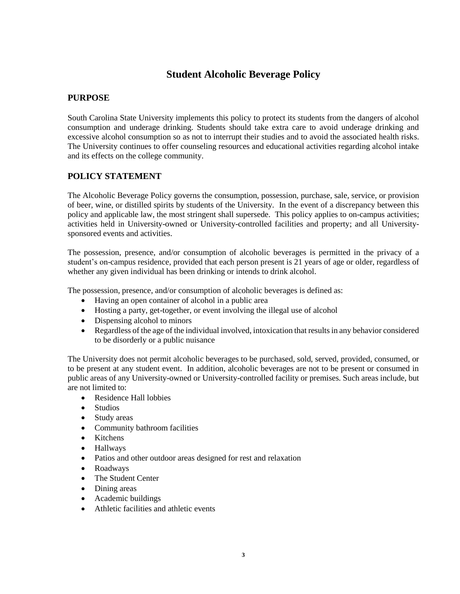## **Student Alcoholic Beverage Policy**

#### **PURPOSE**

South Carolina State University implements this policy to protect its students from the dangers of alcohol consumption and underage drinking. Students should take extra care to avoid underage drinking and excessive alcohol consumption so as not to interrupt their studies and to avoid the associated health risks. The University continues to offer counseling resources and educational activities regarding alcohol intake and its effects on the college community.

#### **POLICY STATEMENT**

The Alcoholic Beverage Policy governs the consumption, possession, purchase, sale, service, or provision of beer, wine, or distilled spirits by students of the University. In the event of a discrepancy between this policy and applicable law, the most stringent shall supersede. This policy applies to on-campus activities; activities held in University-owned or University-controlled facilities and property; and all Universitysponsored events and activities.

The possession, presence, and/or consumption of alcoholic beverages is permitted in the privacy of a student's on-campus residence, provided that each person present is 21 years of age or older, regardless of whether any given individual has been drinking or intends to drink alcohol.

The possession, presence, and/or consumption of alcoholic beverages is defined as:

- Having an open container of alcohol in a public area
- Hosting a party, get-together, or event involving the illegal use of alcohol
- Dispensing alcohol to minors
- Regardless of the age of the individual involved, intoxication that results in any behavior considered to be disorderly or a public nuisance

The University does not permit alcoholic beverages to be purchased, sold, served, provided, consumed, or to be present at any student event. In addition, alcoholic beverages are not to be present or consumed in public areas of any University-owned or University-controlled facility or premises. Such areas include, but are not limited to:

- Residence Hall lobbies
- Studios
- Study areas
- Community bathroom facilities
- Kitchens
- Hallways
- Patios and other outdoor areas designed for rest and relaxation
- Roadways
- The Student Center
- Dining areas
- Academic buildings
- Athletic facilities and athletic events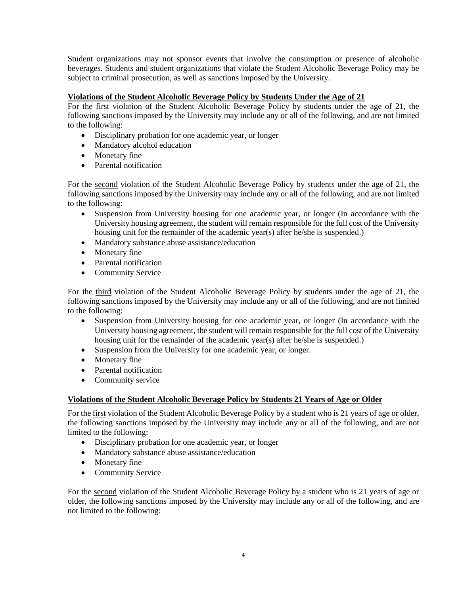Student organizations may not sponsor events that involve the consumption or presence of alcoholic beverages. Students and student organizations that violate the Student Alcoholic Beverage Policy may be subject to criminal prosecution, as well as sanctions imposed by the University.

#### **Violations of the Student Alcoholic Beverage Policy by Students Under the Age of 21**

For the first violation of the Student Alcoholic Beverage Policy by students under the age of 21, the following sanctions imposed by the University may include any or all of the following, and are not limited to the following:

- Disciplinary probation for one academic year, or longer
- Mandatory alcohol education
- Monetary fine
- Parental notification

For the second violation of the Student Alcoholic Beverage Policy by students under the age of 21, the following sanctions imposed by the University may include any or all of the following, and are not limited to the following:

- Suspension from University housing for one academic year, or longer (In accordance with the University housing agreement, the student will remain responsible for the full cost of the University housing unit for the remainder of the academic year(s) after he/she is suspended.)
- Mandatory substance abuse assistance/education
- Monetary fine
- Parental notification
- Community Service

For the third violation of the Student Alcoholic Beverage Policy by students under the age of 21, the following sanctions imposed by the University may include any or all of the following, and are not limited to the following:

- Suspension from University housing for one academic year, or longer (In accordance with the University housing agreement, the student will remain responsible for the full cost of the University housing unit for the remainder of the academic year(s) after he/she is suspended.)
- Suspension from the University for one academic year, or longer.
- Monetary fine
- Parental notification
- Community service

#### **Violations of the Student Alcoholic Beverage Policy by Students 21 Years of Age or Older**

For the first violation of the Student Alcoholic Beverage Policy by a student who is 21 years of age or older, the following sanctions imposed by the University may include any or all of the following, and are not limited to the following:

- Disciplinary probation for one academic year, or longer
- Mandatory substance abuse assistance/education
- Monetary fine
- Community Service

For the second violation of the Student Alcoholic Beverage Policy by a student who is 21 years of age or older, the following sanctions imposed by the University may include any or all of the following, and are not limited to the following: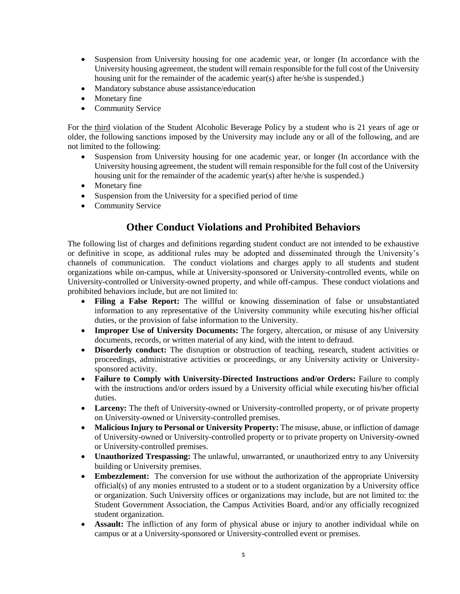- Suspension from University housing for one academic year, or longer (In accordance with the University housing agreement, the student will remain responsible for the full cost of the University housing unit for the remainder of the academic year(s) after he/she is suspended.)
- Mandatory substance abuse assistance/education
- Monetary fine
- Community Service

For the third violation of the Student Alcoholic Beverage Policy by a student who is 21 years of age or older, the following sanctions imposed by the University may include any or all of the following, and are not limited to the following:

- Suspension from University housing for one academic year, or longer (In accordance with the University housing agreement, the student will remain responsible for the full cost of the University housing unit for the remainder of the academic year(s) after he/she is suspended.)
- Monetary fine
- Suspension from the University for a specified period of time
- Community Service

## **Other Conduct Violations and Prohibited Behaviors**

The following list of charges and definitions regarding student conduct are not intended to be exhaustive or definitive in scope, as additional rules may be adopted and disseminated through the University's channels of communication. The conduct violations and charges apply to all students and student organizations while on-campus, while at University-sponsored or University-controlled events, while on University-controlled or University-owned property, and while off-campus. These conduct violations and prohibited behaviors include, but are not limited to:

- **Filing a False Report:** The willful or knowing dissemination of false or unsubstantiated information to any representative of the University community while executing his/her official duties, or the provision of false information to the University.
- **Improper Use of University Documents:** The forgery, altercation, or misuse of any University documents, records, or written material of any kind, with the intent to defraud.
- **Disorderly conduct:** The disruption or obstruction of teaching, research, student activities or proceedings, administrative activities or proceedings, or any University activity or Universitysponsored activity.
- **Failure to Comply with University-Directed Instructions and/or Orders:** Failure to comply with the instructions and/or orders issued by a University official while executing his/her official duties.
- **Larceny:** The theft of University-owned or University-controlled property, or of private property on University-owned or University-controlled premises.
- **Malicious Injury to Personal or University Property:** The misuse, abuse, or infliction of damage of University-owned or University-controlled property or to private property on University-owned or University-controlled premises.
- **Unauthorized Trespassing:** The unlawful, unwarranted, or unauthorized entry to any University building or University premises.
- **Embezzlement:** The conversion for use without the authorization of the appropriate University official(s) of any monies entrusted to a student or to a student organization by a University office or organization. Such University offices or organizations may include, but are not limited to: the Student Government Association, the Campus Activities Board, and/or any officially recognized student organization.
- **Assault:** The infliction of any form of physical abuse or injury to another individual while on campus or at a University-sponsored or University-controlled event or premises.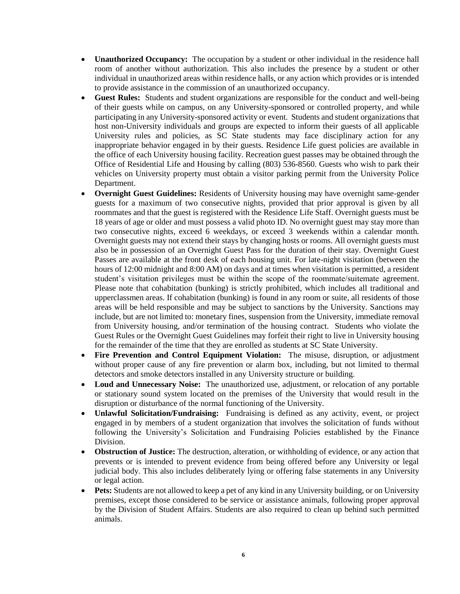- **Unauthorized Occupancy:** The occupation by a student or other individual in the residence hall room of another without authorization. This also includes the presence by a student or other individual in unauthorized areas within residence halls, or any action which provides or is intended to provide assistance in the commission of an unauthorized occupancy.
- **Guest Rules:** Students and student organizations are responsible for the conduct and well-being of their guests while on campus, on any University-sponsored or controlled property, and while participating in any University-sponsored activity or event. Students and student organizations that host non-University individuals and groups are expected to inform their guests of all applicable University rules and policies, as SC State students may face disciplinary action for any inappropriate behavior engaged in by their guests. Residence Life guest policies are available in the office of each University housing facility. Recreation guest passes may be obtained through the Office of Residential Life and Housing by calling (803) 536-8560. Guests who wish to park their vehicles on University property must obtain a visitor parking permit from the University Police Department.
- **Overnight Guest Guidelines:** Residents of University housing may have overnight same-gender guests for a maximum of two consecutive nights, provided that prior approval is given by all roommates and that the guest is registered with the Residence Life Staff. Overnight guests must be 18 years of age or older and must possess a valid photo ID. No overnight guest may stay more than two consecutive nights, exceed 6 weekdays, or exceed 3 weekends within a calendar month. Overnight guests may not extend their stays by changing hosts or rooms. All overnight guests must also be in possession of an Overnight Guest Pass for the duration of their stay. Overnight Guest Passes are available at the front desk of each housing unit. For late-night visitation (between the hours of 12:00 midnight and 8:00 AM) on days and at times when visitation is permitted, a resident student's visitation privileges must be within the scope of the roommate/suitemate agreement. Please note that cohabitation (bunking) is strictly prohibited, which includes all traditional and upperclassmen areas. If cohabitation (bunking) is found in any room or suite, all residents of those areas will be held responsible and may be subject to sanctions by the University. Sanctions may include, but are not limited to: monetary fines, suspension from the University, immediate removal from University housing, and/or termination of the housing contract. Students who violate the Guest Rules or the Overnight Guest Guidelines may forfeit their right to live in University housing for the remainder of the time that they are enrolled as students at SC State University.
- **Fire Prevention and Control Equipment Violation:** The misuse, disruption, or adjustment without proper cause of any fire prevention or alarm box, including, but not limited to thermal detectors and smoke detectors installed in any University structure or building.
- **Loud and Unnecessary Noise:** The unauthorized use, adjustment, or relocation of any portable or stationary sound system located on the premises of the University that would result in the disruption or disturbance of the normal functioning of the University.
- **Unlawful Solicitation/Fundraising:** Fundraising is defined as any activity, event, or project engaged in by members of a student organization that involves the solicitation of funds without following the University's Solicitation and Fundraising Policies established by the Finance Division.
- **Obstruction of Justice:** The destruction, alteration, or withholding of evidence, or any action that prevents or is intended to prevent evidence from being offered before any University or legal judicial body. This also includes deliberately lying or offering false statements in any University or legal action.
- **Pets:** Students are not allowed to keep a pet of any kind in any University building, or on University premises, except those considered to be service or assistance animals, following proper approval by the Division of Student Affairs. Students are also required to clean up behind such permitted animals.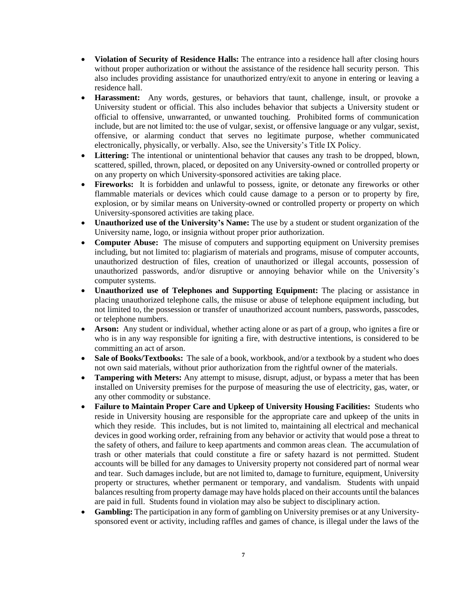- **Violation of Security of Residence Halls:** The entrance into a residence hall after closing hours without proper authorization or without the assistance of the residence hall security person. This also includes providing assistance for unauthorized entry/exit to anyone in entering or leaving a residence hall.
- **Harassment:** Any words, gestures, or behaviors that taunt, challenge, insult, or provoke a University student or official. This also includes behavior that subjects a University student or official to offensive, unwarranted, or unwanted touching. Prohibited forms of communication include, but are not limited to: the use of vulgar, sexist, or offensive language or any vulgar, sexist, offensive, or alarming conduct that serves no legitimate purpose, whether communicated electronically, physically, or verbally. Also, see the University's Title IX Policy.
- **Littering:** The intentional or unintentional behavior that causes any trash to be dropped, blown, scattered, spilled, thrown, placed, or deposited on any University-owned or controlled property or on any property on which University-sponsored activities are taking place.
- **Fireworks:** It is forbidden and unlawful to possess, ignite, or detonate any fireworks or other flammable materials or devices which could cause damage to a person or to property by fire, explosion, or by similar means on University-owned or controlled property or property on which University-sponsored activities are taking place.
- **Unauthorized use of the University's Name:** The use by a student or student organization of the University name, logo, or insignia without proper prior authorization.
- **Computer Abuse:** The misuse of computers and supporting equipment on University premises including, but not limited to: plagiarism of materials and programs, misuse of computer accounts, unauthorized destruction of files, creation of unauthorized or illegal accounts, possession of unauthorized passwords, and/or disruptive or annoying behavior while on the University's computer systems.
- **Unauthorized use of Telephones and Supporting Equipment:** The placing or assistance in placing unauthorized telephone calls, the misuse or abuse of telephone equipment including, but not limited to, the possession or transfer of unauthorized account numbers, passwords, passcodes, or telephone numbers.
- **Arson:** Any student or individual, whether acting alone or as part of a group, who ignites a fire or who is in any way responsible for igniting a fire, with destructive intentions, is considered to be committing an act of arson.
- **Sale of Books/Textbooks:** The sale of a book, workbook, and/or a textbook by a student who does not own said materials, without prior authorization from the rightful owner of the materials.
- **Tampering with Meters:** Any attempt to misuse, disrupt, adjust, or bypass a meter that has been installed on University premises for the purpose of measuring the use of electricity, gas, water, or any other commodity or substance.
- **Failure to Maintain Proper Care and Upkeep of University Housing Facilities:** Students who reside in University housing are responsible for the appropriate care and upkeep of the units in which they reside. This includes, but is not limited to, maintaining all electrical and mechanical devices in good working order, refraining from any behavior or activity that would pose a threat to the safety of others, and failure to keep apartments and common areas clean. The accumulation of trash or other materials that could constitute a fire or safety hazard is not permitted. Student accounts will be billed for any damages to University property not considered part of normal wear and tear. Such damages include, but are not limited to, damage to furniture, equipment, University property or structures, whether permanent or temporary, and vandalism. Students with unpaid balances resulting from property damage may have holds placed on their accounts until the balances are paid in full. Students found in violation may also be subject to disciplinary action.
- **Gambling:** The participation in any form of gambling on University premises or at any Universitysponsored event or activity, including raffles and games of chance, is illegal under the laws of the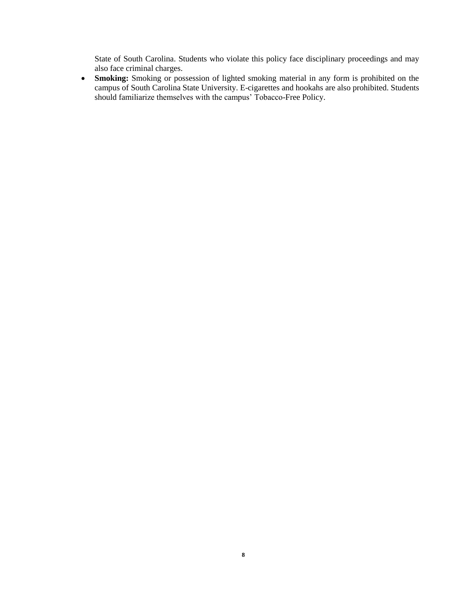State of South Carolina. Students who violate this policy face disciplinary proceedings and may also face criminal charges.

 **Smoking:** Smoking or possession of lighted smoking material in any form is prohibited on the campus of South Carolina State University. E-cigarettes and hookahs are also prohibited. Students should familiarize themselves with the campus' Tobacco-Free Policy.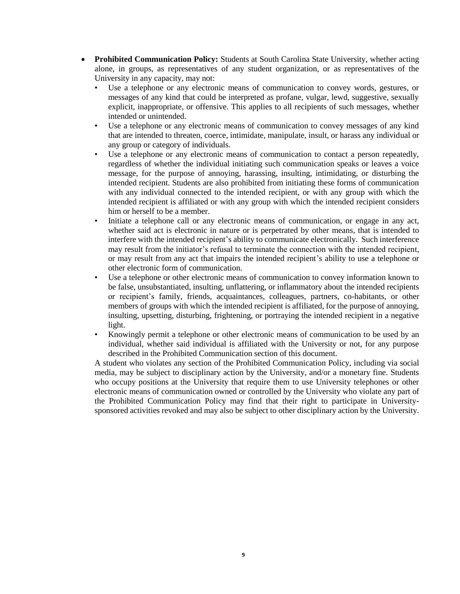- **Prohibited Communication Policy:** Students at South Carolina State University, whether acting alone, in groups, as representatives of any student organization, or as representatives of the University in any capacity, may not:
	- Use a telephone or any electronic means of communication to convey words, gestures, or messages of any kind that could be interpreted as profane, vulgar, lewd, suggestive, sexually explicit, inappropriate, or offensive. This applies to all recipients of such messages, whether intended or unintended.
	- Use a telephone or any electronic means of communication to convey messages of any kind that are intended to threaten, coerce, intimidate, manipulate, insult, or harass any individual or any group or category of individuals.
	- Use a telephone or any electronic means of communication to contact a person repeatedly, regardless of whether the individual initiating such communication speaks or leaves a voice message, for the purpose of annoying, harassing, insulting, intimidating, or disturbing the intended recipient. Students are also prohibited from initiating these forms of communication with any individual connected to the intended recipient, or with any group with which the intended recipient is affiliated or with any group with which the intended recipient considers him or herself to be a member.
	- Initiate a telephone call or any electronic means of communication, or engage in any act, whether said act is electronic in nature or is perpetrated by other means, that is intended to interfere with the intended recipient's ability to communicate electronically. Such interference may result from the initiator's refusal to terminate the connection with the intended recipient, or may result from any act that impairs the intended recipient's ability to use a telephone or other electronic form of communication.
	- Use a telephone or other electronic means of communication to convey information known to be false, unsubstantiated, insulting, unflattering, or inflammatory about the intended recipients or recipient's family, friends, acquaintances, colleagues, partners, co-habitants, or other members of groups with which the intended recipient is affiliated, for the purpose of annoying, insulting, upsetting, disturbing, frightening, or portraying the intended recipient in a negative light.
	- Knowingly permit a telephone or other electronic means of communication to be used by an individual, whether said individual is affiliated with the University or not, for any purpose described in the Prohibited Communication section of this document.

A student who violates any section of the Prohibited Communication Policy, including via social media, may be subject to disciplinary action by the University, and/or a monetary fine. Students who occupy positions at the University that require them to use University telephones or other electronic means of communication owned or controlled by the University who violate any part of the Prohibited Communication Policy may find that their right to participate in Universitysponsored activities revoked and may also be subject to other disciplinary action by the University.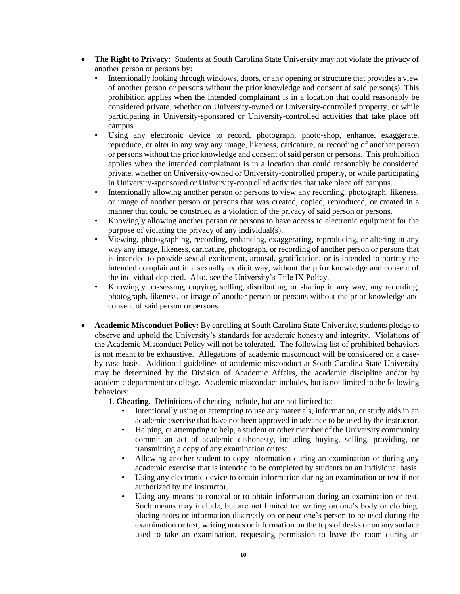- **The Right to Privacy:** Students at South Carolina State University may not violate the privacy of another person or persons by:
	- Intentionally looking through windows, doors, or any opening or structure that provides a view of another person or persons without the prior knowledge and consent of said person(s). This prohibition applies when the intended complainant is in a location that could reasonably be considered private, whether on University-owned or University-controlled property, or while participating in University-sponsored or University-controlled activities that take place off campus.
	- Using any electronic device to record, photograph, photo-shop, enhance, exaggerate, reproduce, or alter in any way any image, likeness, caricature, or recording of another person or persons without the prior knowledge and consent of said person or persons. This prohibition applies when the intended complainant is in a location that could reasonably be considered private, whether on University-owned or University-controlled property, or while participating in University-sponsored or University-controlled activities that take place off campus.
	- Intentionally allowing another person or persons to view any recording, photograph, likeness, or image of another person or persons that was created, copied, reproduced, or created in a manner that could be construed as a violation of the privacy of said person or persons.
	- Knowingly allowing another person or persons to have access to electronic equipment for the purpose of violating the privacy of any individual(s).
	- Viewing, photographing, recording, enhancing, exaggerating, reproducing, or altering in any way any image, likeness, caricature, photograph, or recording of another person or persons that is intended to provide sexual excitement, arousal, gratification, or is intended to portray the intended complainant in a sexually explicit way, without the prior knowledge and consent of the individual depicted. Also, see the University's Title IX Policy.
	- Knowingly possessing, copying, selling, distributing, or sharing in any way, any recording, photograph, likeness, or image of another person or persons without the prior knowledge and consent of said person or persons.
- **Academic Misconduct Policy:** By enrolling at South Carolina State University, students pledge to observe and uphold the University's standards for academic honesty and integrity. Violations of the Academic Misconduct Policy will not be tolerated. The following list of prohibited behaviors is not meant to be exhaustive. Allegations of academic misconduct will be considered on a caseby-case basis. Additional guidelines of academic misconduct at South Carolina State University may be determined by the Division of Academic Affairs, the academic discipline and/or by academic department or college. Academic misconduct includes, but is not limited to the following behaviors:

1. **Cheating.** Definitions of cheating include, but are not limited to:

- Intentionally using or attempting to use any materials, information, or study aids in an academic exercise that have not been approved in advance to be used by the instructor.
- Helping, or attempting to help, a student or other member of the University community commit an act of academic dishonesty, including buying, selling, providing, or transmitting a copy of any examination or test.
- Allowing another student to copy information during an examination or during any academic exercise that is intended to be completed by students on an individual basis.
- Using any electronic device to obtain information during an examination or test if not authorized by the instructor.
- Using any means to conceal or to obtain information during an examination or test. Such means may include, but are not limited to: writing on one's body or clothing, placing notes or information discreetly on or near one's person to be used during the examination or test, writing notes or information on the tops of desks or on any surface used to take an examination, requesting permission to leave the room during an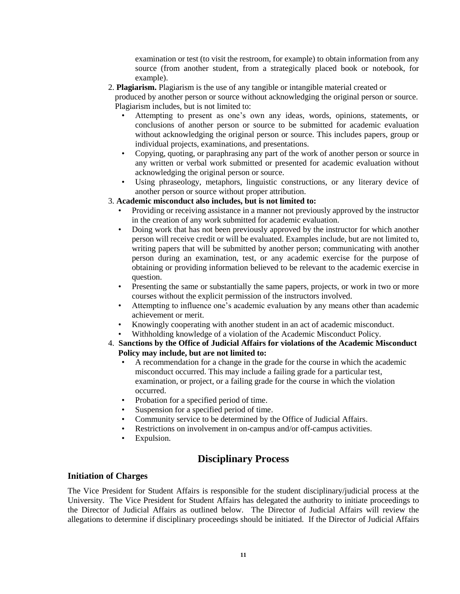examination or test (to visit the restroom, for example) to obtain information from any source (from another student, from a strategically placed book or notebook, for example).

2. **Plagiarism.** Plagiarism is the use of any tangible or intangible material created or

produced by another person or source without acknowledging the original person or source. Plagiarism includes, but is not limited to:

- Attempting to present as one's own any ideas, words, opinions, statements, or conclusions of another person or source to be submitted for academic evaluation without acknowledging the original person or source. This includes papers, group or individual projects, examinations, and presentations.
- Copying, quoting, or paraphrasing any part of the work of another person or source in any written or verbal work submitted or presented for academic evaluation without acknowledging the original person or source.
- Using phraseology, metaphors, linguistic constructions, or any literary device of another person or source without proper attribution.

#### 3. **Academic misconduct also includes, but is not limited to:**

- Providing or receiving assistance in a manner not previously approved by the instructor in the creation of any work submitted for academic evaluation.
- Doing work that has not been previously approved by the instructor for which another person will receive credit or will be evaluated. Examples include, but are not limited to, writing papers that will be submitted by another person; communicating with another person during an examination, test, or any academic exercise for the purpose of obtaining or providing information believed to be relevant to the academic exercise in question.
- Presenting the same or substantially the same papers, projects, or work in two or more courses without the explicit permission of the instructors involved.
- Attempting to influence one's academic evaluation by any means other than academic achievement or merit.
- Knowingly cooperating with another student in an act of academic misconduct.
- Withholding knowledge of a violation of the Academic Misconduct Policy.
- 4. **Sanctions by the Office of Judicial Affairs for violations of the Academic Misconduct Policy may include, but are not limited to:** 
	- A recommendation for a change in the grade for the course in which the academic misconduct occurred. This may include a failing grade for a particular test, examination, or project, or a failing grade for the course in which the violation occurred.
	- Probation for a specified period of time.
	- Suspension for a specified period of time.
	- Community service to be determined by the Office of Judicial Affairs.
	- Restrictions on involvement in on-campus and/or off-campus activities.
	- Expulsion.

## **Disciplinary Process**

#### **Initiation of Charges**

The Vice President for Student Affairs is responsible for the student disciplinary/judicial process at the University. The Vice President for Student Affairs has delegated the authority to initiate proceedings to the Director of Judicial Affairs as outlined below. The Director of Judicial Affairs will review the allegations to determine if disciplinary proceedings should be initiated. If the Director of Judicial Affairs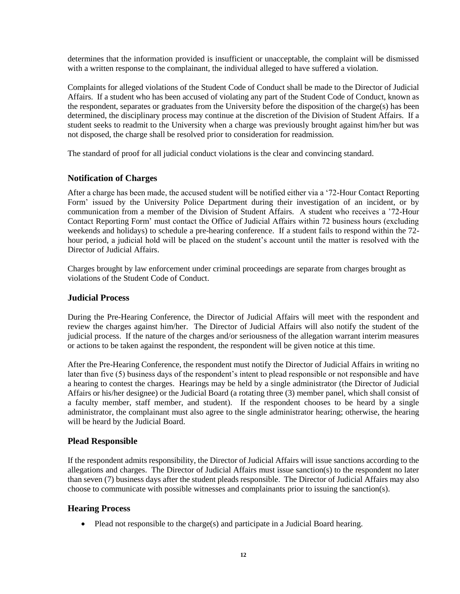determines that the information provided is insufficient or unacceptable, the complaint will be dismissed with a written response to the complainant, the individual alleged to have suffered a violation.

Complaints for alleged violations of the Student Code of Conduct shall be made to the Director of Judicial Affairs. If a student who has been accused of violating any part of the Student Code of Conduct, known as the respondent, separates or graduates from the University before the disposition of the charge(s) has been determined, the disciplinary process may continue at the discretion of the Division of Student Affairs. If a student seeks to readmit to the University when a charge was previously brought against him/her but was not disposed, the charge shall be resolved prior to consideration for readmission.

The standard of proof for all judicial conduct violations is the clear and convincing standard.

#### **Notification of Charges**

After a charge has been made, the accused student will be notified either via a '72-Hour Contact Reporting Form' issued by the University Police Department during their investigation of an incident, or by communication from a member of the Division of Student Affairs. A student who receives a '72-Hour Contact Reporting Form' must contact the Office of Judicial Affairs within 72 business hours (excluding weekends and holidays) to schedule a pre-hearing conference. If a student fails to respond within the 72 hour period, a judicial hold will be placed on the student's account until the matter is resolved with the Director of Judicial Affairs.

Charges brought by law enforcement under criminal proceedings are separate from charges brought as violations of the Student Code of Conduct.

#### **Judicial Process**

During the Pre-Hearing Conference, the Director of Judicial Affairs will meet with the respondent and review the charges against him/her. The Director of Judicial Affairs will also notify the student of the judicial process. If the nature of the charges and/or seriousness of the allegation warrant interim measures or actions to be taken against the respondent, the respondent will be given notice at this time.

After the Pre-Hearing Conference, the respondent must notify the Director of Judicial Affairs in writing no later than five (5) business days of the respondent's intent to plead responsible or not responsible and have a hearing to contest the charges. Hearings may be held by a single administrator (the Director of Judicial Affairs or his/her designee) or the Judicial Board (a rotating three (3) member panel, which shall consist of a faculty member, staff member, and student). If the respondent chooses to be heard by a single administrator, the complainant must also agree to the single administrator hearing; otherwise, the hearing will be heard by the Judicial Board.

#### **Plead Responsible**

If the respondent admits responsibility, the Director of Judicial Affairs will issue sanctions according to the allegations and charges. The Director of Judicial Affairs must issue sanction(s) to the respondent no later than seven (7) business days after the student pleads responsible. The Director of Judicial Affairs may also choose to communicate with possible witnesses and complainants prior to issuing the sanction(s).

#### **Hearing Process**

• Plead not responsible to the charge(s) and participate in a Judicial Board hearing.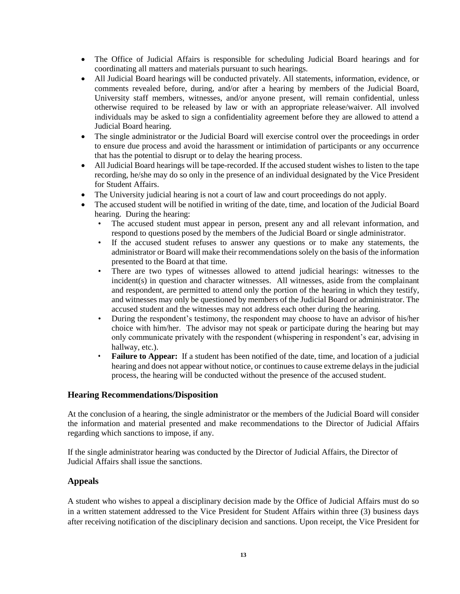- The Office of Judicial Affairs is responsible for scheduling Judicial Board hearings and for coordinating all matters and materials pursuant to such hearings.
- All Judicial Board hearings will be conducted privately. All statements, information, evidence, or comments revealed before, during, and/or after a hearing by members of the Judicial Board, University staff members, witnesses, and/or anyone present, will remain confidential, unless otherwise required to be released by law or with an appropriate release/waiver. All involved individuals may be asked to sign a confidentiality agreement before they are allowed to attend a Judicial Board hearing.
- The single administrator or the Judicial Board will exercise control over the proceedings in order to ensure due process and avoid the harassment or intimidation of participants or any occurrence that has the potential to disrupt or to delay the hearing process.
- All Judicial Board hearings will be tape-recorded. If the accused student wishes to listen to the tape recording, he/she may do so only in the presence of an individual designated by the Vice President for Student Affairs.
- The University judicial hearing is not a court of law and court proceedings do not apply.
- The accused student will be notified in writing of the date, time, and location of the Judicial Board hearing. During the hearing:
	- The accused student must appear in person, present any and all relevant information, and respond to questions posed by the members of the Judicial Board or single administrator.
	- If the accused student refuses to answer any questions or to make any statements, the administrator or Board will make their recommendations solely on the basis of the information presented to the Board at that time.
	- There are two types of witnesses allowed to attend judicial hearings: witnesses to the incident(s) in question and character witnesses. All witnesses, aside from the complainant and respondent, are permitted to attend only the portion of the hearing in which they testify, and witnesses may only be questioned by members of the Judicial Board or administrator. The accused student and the witnesses may not address each other during the hearing.
	- During the respondent's testimony, the respondent may choose to have an advisor of his/her choice with him/her. The advisor may not speak or participate during the hearing but may only communicate privately with the respondent (whispering in respondent's ear, advising in hallway, etc.).
	- **Failure to Appear:** If a student has been notified of the date, time, and location of a judicial hearing and does not appear without notice, or continues to cause extreme delays in the judicial process, the hearing will be conducted without the presence of the accused student.

#### **Hearing Recommendations/Disposition**

At the conclusion of a hearing, the single administrator or the members of the Judicial Board will consider the information and material presented and make recommendations to the Director of Judicial Affairs regarding which sanctions to impose, if any.

If the single administrator hearing was conducted by the Director of Judicial Affairs, the Director of Judicial Affairs shall issue the sanctions.

#### **Appeals**

A student who wishes to appeal a disciplinary decision made by the Office of Judicial Affairs must do so in a written statement addressed to the Vice President for Student Affairs within three (3) business days after receiving notification of the disciplinary decision and sanctions. Upon receipt, the Vice President for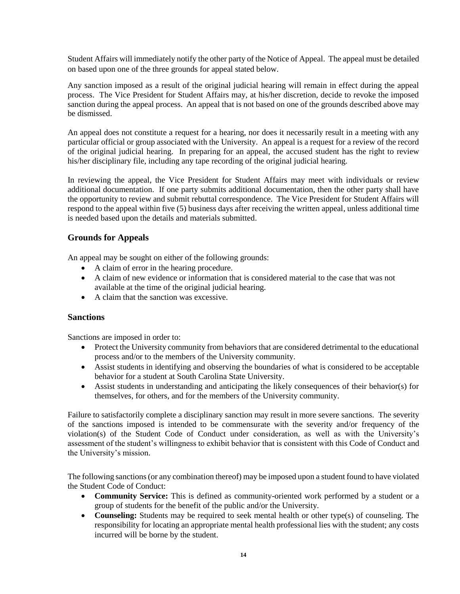Student Affairs will immediately notify the other party of the Notice of Appeal. The appeal must be detailed on based upon one of the three grounds for appeal stated below.

Any sanction imposed as a result of the original judicial hearing will remain in effect during the appeal process. The Vice President for Student Affairs may, at his/her discretion, decide to revoke the imposed sanction during the appeal process. An appeal that is not based on one of the grounds described above may be dismissed.

An appeal does not constitute a request for a hearing, nor does it necessarily result in a meeting with any particular official or group associated with the University. An appeal is a request for a review of the record of the original judicial hearing. In preparing for an appeal, the accused student has the right to review his/her disciplinary file, including any tape recording of the original judicial hearing.

In reviewing the appeal, the Vice President for Student Affairs may meet with individuals or review additional documentation. If one party submits additional documentation, then the other party shall have the opportunity to review and submit rebuttal correspondence. The Vice President for Student Affairs will respond to the appeal within five (5) business days after receiving the written appeal, unless additional time is needed based upon the details and materials submitted.

#### **Grounds for Appeals**

An appeal may be sought on either of the following grounds:

- A claim of error in the hearing procedure.
- A claim of new evidence or information that is considered material to the case that was not available at the time of the original judicial hearing.
- A claim that the sanction was excessive.

#### **Sanctions**

Sanctions are imposed in order to:

- Protect the University community from behaviors that are considered detrimental to the educational process and/or to the members of the University community.
- Assist students in identifying and observing the boundaries of what is considered to be acceptable behavior for a student at South Carolina State University.
- Assist students in understanding and anticipating the likely consequences of their behavior(s) for themselves, for others, and for the members of the University community.

Failure to satisfactorily complete a disciplinary sanction may result in more severe sanctions. The severity of the sanctions imposed is intended to be commensurate with the severity and/or frequency of the violation(s) of the Student Code of Conduct under consideration, as well as with the University's assessment of the student's willingness to exhibit behavior that is consistent with this Code of Conduct and the University's mission.

The following sanctions (or any combination thereof) may be imposed upon a student found to have violated the Student Code of Conduct:

- **Community Service:** This is defined as community-oriented work performed by a student or a group of students for the benefit of the public and/or the University.
- **Counseling:** Students may be required to seek mental health or other type(s) of counseling. The responsibility for locating an appropriate mental health professional lies with the student; any costs incurred will be borne by the student.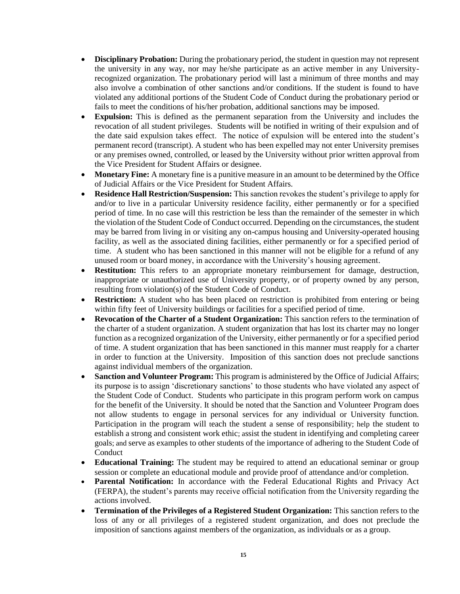- **Disciplinary Probation:** During the probationary period, the student in question may not represent the university in any way, nor may he/she participate as an active member in any Universityrecognized organization. The probationary period will last a minimum of three months and may also involve a combination of other sanctions and/or conditions. If the student is found to have violated any additional portions of the Student Code of Conduct during the probationary period or fails to meet the conditions of his/her probation, additional sanctions may be imposed.
- **Expulsion:** This is defined as the permanent separation from the University and includes the revocation of all student privileges. Students will be notified in writing of their expulsion and of the date said expulsion takes effect. The notice of expulsion will be entered into the student's permanent record (transcript). A student who has been expelled may not enter University premises or any premises owned, controlled, or leased by the University without prior written approval from the Vice President for Student Affairs or designee.
- **Monetary Fine:** A monetary fine is a punitive measure in an amount to be determined by the Office of Judicial Affairs or the Vice President for Student Affairs.
- **Residence Hall Restriction/Suspension:** This sanction revokes the student's privilege to apply for and/or to live in a particular University residence facility, either permanently or for a specified period of time. In no case will this restriction be less than the remainder of the semester in which the violation of the Student Code of Conduct occurred. Depending on the circumstances, the student may be barred from living in or visiting any on-campus housing and University-operated housing facility, as well as the associated dining facilities, either permanently or for a specified period of time. A student who has been sanctioned in this manner will not be eligible for a refund of any unused room or board money, in accordance with the University's housing agreement.
- **Restitution:** This refers to an appropriate monetary reimbursement for damage, destruction, inappropriate or unauthorized use of University property, or of property owned by any person, resulting from violation(s) of the Student Code of Conduct.
- **Restriction:** A student who has been placed on restriction is prohibited from entering or being within fifty feet of University buildings or facilities for a specified period of time.
- **Revocation of the Charter of a Student Organization:** This sanction refers to the termination of the charter of a student organization. A student organization that has lost its charter may no longer function as a recognized organization of the University, either permanently or for a specified period of time. A student organization that has been sanctioned in this manner must reapply for a charter in order to function at the University. Imposition of this sanction does not preclude sanctions against individual members of the organization.
- **Sanction and Volunteer Program:** This program is administered by the Office of Judicial Affairs; its purpose is to assign 'discretionary sanctions' to those students who have violated any aspect of the Student Code of Conduct. Students who participate in this program perform work on campus for the benefit of the University. It should be noted that the Sanction and Volunteer Program does not allow students to engage in personal services for any individual or University function. Participation in the program will teach the student a sense of responsibility; help the student to establish a strong and consistent work ethic; assist the student in identifying and completing career goals; and serve as examples to other students of the importance of adhering to the Student Code of Conduct
- **Educational Training:** The student may be required to attend an educational seminar or group session or complete an educational module and provide proof of attendance and/or completion.
- **Parental Notification:** In accordance with the Federal Educational Rights and Privacy Act (FERPA), the student's parents may receive official notification from the University regarding the actions involved.
- **Termination of the Privileges of a Registered Student Organization:** This sanction refers to the loss of any or all privileges of a registered student organization, and does not preclude the imposition of sanctions against members of the organization, as individuals or as a group.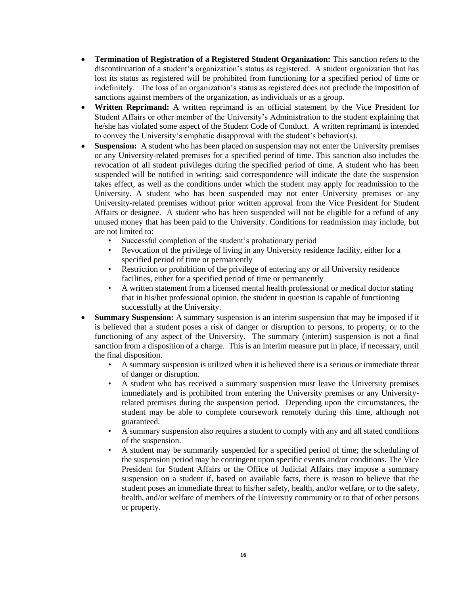- **Termination of Registration of a Registered Student Organization:** This sanction refers to the discontinuation of a student's organization's status as registered. A student organization that has lost its status as registered will be prohibited from functioning for a specified period of time or indefinitely. The loss of an organization's status as registered does not preclude the imposition of sanctions against members of the organization, as individuals or as a group.
- **Written Reprimand:** A written reprimand is an official statement by the Vice President for Student Affairs or other member of the University's Administration to the student explaining that he/she has violated some aspect of the Student Code of Conduct. A written reprimand is intended to convey the University's emphatic disapproval with the student's behavior(s).
- **Suspension:** A student who has been placed on suspension may not enter the University premises or any University-related premises for a specified period of time. This sanction also includes the revocation of all student privileges during the specified period of time. A student who has been suspended will be notified in writing; said correspondence will indicate the date the suspension takes effect, as well as the conditions under which the student may apply for readmission to the University. A student who has been suspended may not enter University premises or any University-related premises without prior written approval from the Vice President for Student Affairs or designee. A student who has been suspended will not be eligible for a refund of any unused money that has been paid to the University. Conditions for readmission may include, but are not limited to:
	- Successful completion of the student's probationary period
	- Revocation of the privilege of living in any University residence facility, either for a specified period of time or permanently
	- Restriction or prohibition of the privilege of entering any or all University residence facilities, either for a specified period of time or permanently
	- A written statement from a licensed mental health professional or medical doctor stating that in his/her professional opinion, the student in question is capable of functioning successfully at the University.
- **Summary Suspension:** A summary suspension is an interim suspension that may be imposed if it is believed that a student poses a risk of danger or disruption to persons, to property, or to the functioning of any aspect of the University. The summary (interim) suspension is not a final sanction from a disposition of a charge. This is an interim measure put in place, if necessary, until the final disposition.
	- A summary suspension is utilized when it is believed there is a serious or immediate threat of danger or disruption.
	- A student who has received a summary suspension must leave the University premises immediately and is prohibited from entering the University premises or any Universityrelated premises during the suspension period. Depending upon the circumstances, the student may be able to complete coursework remotely during this time, although not guaranteed.
	- A summary suspension also requires a student to comply with any and all stated conditions of the suspension.
	- A student may be summarily suspended for a specified period of time; the scheduling of the suspension period may be contingent upon specific events and/or conditions. The Vice President for Student Affairs or the Office of Judicial Affairs may impose a summary suspension on a student if, based on available facts, there is reason to believe that the student poses an immediate threat to his/her safety, health, and/or welfare, or to the safety, health, and/or welfare of members of the University community or to that of other persons or property.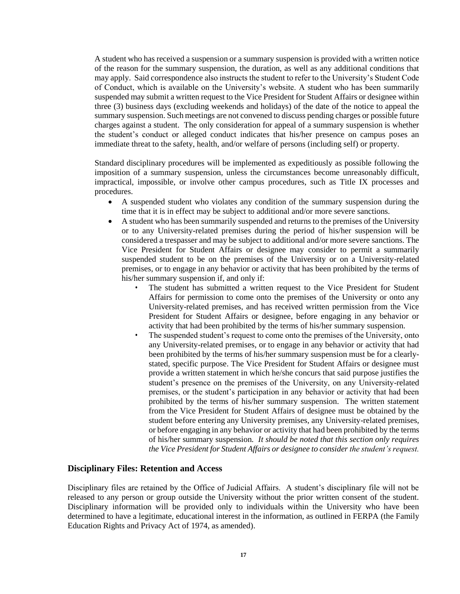A student who has received a suspension or a summary suspension is provided with a written notice of the reason for the summary suspension, the duration, as well as any additional conditions that may apply. Said correspondence also instructs the student to refer to the University's Student Code of Conduct, which is available on the University's website. A student who has been summarily suspended may submit a written request to the Vice President for Student Affairs or designee within three (3) business days (excluding weekends and holidays) of the date of the notice to appeal the summary suspension. Such meetings are not convened to discuss pending charges or possible future charges against a student. The only consideration for appeal of a summary suspension is whether the student's conduct or alleged conduct indicates that his/her presence on campus poses an immediate threat to the safety, health, and/or welfare of persons (including self) or property.

Standard disciplinary procedures will be implemented as expeditiously as possible following the imposition of a summary suspension, unless the circumstances become unreasonably difficult, impractical, impossible, or involve other campus procedures, such as Title IX processes and procedures.

- A suspended student who violates any condition of the summary suspension during the time that it is in effect may be subject to additional and/or more severe sanctions.
- A student who has been summarily suspended and returns to the premises of the University or to any University-related premises during the period of his/her suspension will be considered a trespasser and may be subject to additional and/or more severe sanctions. The Vice President for Student Affairs or designee may consider to permit a summarily suspended student to be on the premises of the University or on a University-related premises, or to engage in any behavior or activity that has been prohibited by the terms of his/her summary suspension if, and only if:
	- The student has submitted a written request to the Vice President for Student Affairs for permission to come onto the premises of the University or onto any University-related premises, and has received written permission from the Vice President for Student Affairs or designee, before engaging in any behavior or activity that had been prohibited by the terms of his/her summary suspension.
	- The suspended student's request to come onto the premises of the University, onto any University-related premises, or to engage in any behavior or activity that had been prohibited by the terms of his/her summary suspension must be for a clearlystated, specific purpose. The Vice President for Student Affairs or designee must provide a written statement in which he/she concurs that said purpose justifies the student's presence on the premises of the University, on any University-related premises, or the student's participation in any behavior or activity that had been prohibited by the terms of his/her summary suspension. The written statement from the Vice President for Student Affairs of designee must be obtained by the student before entering any University premises, any University-related premises, or before engaging in any behavior or activity that had been prohibited by the terms of his/her summary suspension*. It should be noted that this section only requires the Vice President for Student Affairs or designee to consider the student's request.*

#### **Disciplinary Files: Retention and Access**

Disciplinary files are retained by the Office of Judicial Affairs. A student's disciplinary file will not be released to any person or group outside the University without the prior written consent of the student. Disciplinary information will be provided only to individuals within the University who have been determined to have a legitimate, educational interest in the information, as outlined in FERPA (the Family Education Rights and Privacy Act of 1974, as amended).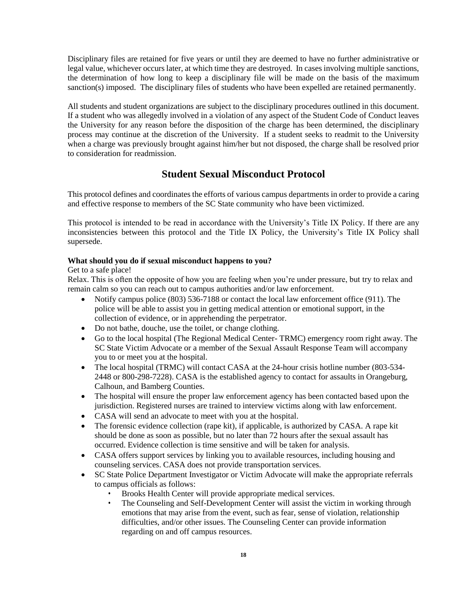Disciplinary files are retained for five years or until they are deemed to have no further administrative or legal value, whichever occurs later, at which time they are destroyed. In cases involving multiple sanctions, the determination of how long to keep a disciplinary file will be made on the basis of the maximum sanction(s) imposed. The disciplinary files of students who have been expelled are retained permanently.

All students and student organizations are subject to the disciplinary procedures outlined in this document. If a student who was allegedly involved in a violation of any aspect of the Student Code of Conduct leaves the University for any reason before the disposition of the charge has been determined, the disciplinary process may continue at the discretion of the University. If a student seeks to readmit to the University when a charge was previously brought against him/her but not disposed, the charge shall be resolved prior to consideration for readmission.

## **Student Sexual Misconduct Protocol**

This protocol defines and coordinates the efforts of various campus departments in order to provide a caring and effective response to members of the SC State community who have been victimized.

This protocol is intended to be read in accordance with the University's Title IX Policy. If there are any inconsistencies between this protocol and the Title IX Policy, the University's Title IX Policy shall supersede.

#### **What should you do if sexual misconduct happens to you?**

#### Get to a safe place!

Relax. This is often the opposite of how you are feeling when you're under pressure, but try to relax and remain calm so you can reach out to campus authorities and/or law enforcement.

- Notify campus police (803) 536-7188 or contact the local law enforcement office (911). The police will be able to assist you in getting medical attention or emotional support, in the collection of evidence, or in apprehending the perpetrator.
- Do not bathe, douche, use the toilet, or change clothing.
- Go to the local hospital (The Regional Medical Center- TRMC) emergency room right away. The SC State Victim Advocate or a member of the Sexual Assault Response Team will accompany you to or meet you at the hospital.
- The local hospital (TRMC) will contact CASA at the 24-hour crisis hotline number (803-534-2448 or 800-298-7228). CASA is the established agency to contact for assaults in Orangeburg, Calhoun, and Bamberg Counties.
- The hospital will ensure the proper law enforcement agency has been contacted based upon the jurisdiction. Registered nurses are trained to interview victims along with law enforcement.
- CASA will send an advocate to meet with you at the hospital.
- The forensic evidence collection (rape kit), if applicable, is authorized by CASA. A rape kit should be done as soon as possible, but no later than 72 hours after the sexual assault has occurred. Evidence collection is time sensitive and will be taken for analysis.
- CASA offers support services by linking you to available resources, including housing and counseling services. CASA does not provide transportation services.
- SC State Police Department Investigator or Victim Advocate will make the appropriate referrals to campus officials as follows:
	- Brooks Health Center will provide appropriate medical services.
	- The Counseling and Self-Development Center will assist the victim in working through emotions that may arise from the event, such as fear, sense of violation, relationship difficulties, and/or other issues. The Counseling Center can provide information regarding on and off campus resources.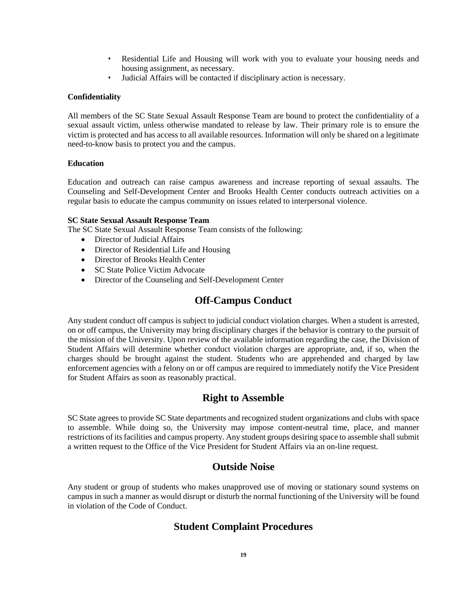- Residential Life and Housing will work with you to evaluate your housing needs and housing assignment, as necessary.
- Judicial Affairs will be contacted if disciplinary action is necessary.

#### **Confidentiality**

All members of the SC State Sexual Assault Response Team are bound to protect the confidentiality of a sexual assault victim, unless otherwise mandated to release by law. Their primary role is to ensure the victim is protected and has access to all available resources. Information will only be shared on a legitimate need-to-know basis to protect you and the campus.

#### **Education**

Education and outreach can raise campus awareness and increase reporting of sexual assaults. The Counseling and Self-Development Center and Brooks Health Center conducts outreach activities on a regular basis to educate the campus community on issues related to interpersonal violence.

#### **SC State Sexual Assault Response Team**

The SC State Sexual Assault Response Team consists of the following:

- Director of Judicial Affairs
- Director of Residential Life and Housing
- Director of Brooks Health Center
- SC State Police Victim Advocate
- Director of the Counseling and Self-Development Center

## **Off-Campus Conduct**

Any student conduct off campus is subject to judicial conduct violation charges. When a student is arrested, on or off campus, the University may bring disciplinary charges if the behavior is contrary to the pursuit of the mission of the University. Upon review of the available information regarding the case, the Division of Student Affairs will determine whether conduct violation charges are appropriate, and, if so, when the charges should be brought against the student. Students who are apprehended and charged by law enforcement agencies with a felony on or off campus are required to immediately notify the Vice President for Student Affairs as soon as reasonably practical.

## **Right to Assemble**

SC State agrees to provide SC State departments and recognized student organizations and clubs with space to assemble. While doing so, the University may impose content-neutral time, place, and manner restrictions of its facilities and campus property. Any student groups desiring space to assemble shall submit a written request to the Office of the Vice President for Student Affairs via an on-line request.

## **Outside Noise**

Any student or group of students who makes unapproved use of moving or stationary sound systems on campus in such a manner as would disrupt or disturb the normal functioning of the University will be found in violation of the Code of Conduct.

## **Student Complaint Procedures**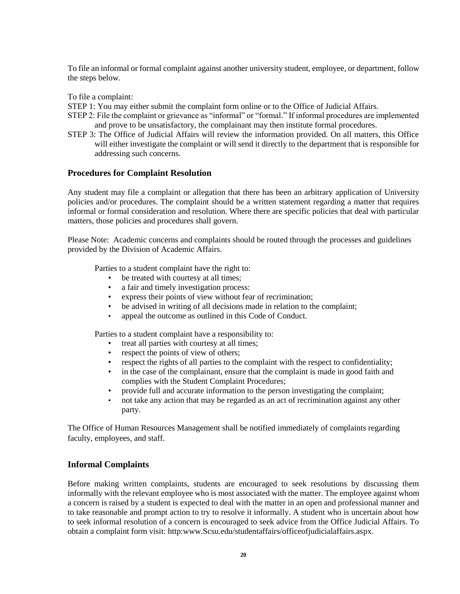To file an informal or formal complaint against another university student, employee, or department, follow the steps below.

To file a complaint:

STEP 1: You may either submit the complaint form online or to the Office of Judicial Affairs.

- STEP 2: File the complaint or grievance as "informal" or "formal." If informal procedures are implemented and prove to be unsatisfactory, the complainant may then institute formal procedures.
- STEP 3: The Office of Judicial Affairs will review the information provided. On all matters, this Office will either investigate the complaint or will send it directly to the department that is responsible for addressing such concerns.

#### **Procedures for Complaint Resolution**

Any student may file a complaint or allegation that there has been an arbitrary application of University policies and/or procedures. The complaint should be a written statement regarding a matter that requires informal or formal consideration and resolution. Where there are specific policies that deal with particular matters, those policies and procedures shall govern.

Please Note: Academic concerns and complaints should be routed through the processes and guidelines provided by the Division of Academic Affairs.

Parties to a student complaint have the right to:

- be treated with courtesy at all times;
- 
- a fair and timely investigation process:<br>• express their points of view without fea express their points of view without fear of recrimination;
- be advised in writing of all decisions made in relation to the complaint;
- appeal the outcome as outlined in this Code of Conduct.

Parties to a student complaint have a responsibility to:

- treat all parties with courtesy at all times;
- respect the points of view of others;
- respect the rights of all parties to the complaint with the respect to confidentiality;
- in the case of the complainant, ensure that the complaint is made in good faith and complies with the Student Complaint Procedures;
- provide full and accurate information to the person investigating the complaint;
- not take any action that may be regarded as an act of recrimination against any other party.

The Office of Human Resources Management shall be notified immediately of complaints regarding faculty, employees, and staff.

#### **Informal Complaints**

Before making written complaints, students are encouraged to seek resolutions by discussing them informally with the relevant employee who is most associated with the matter. The employee against whom a concern is raised by a student is expected to deal with the matter in an open and professional manner and to take reasonable and prompt action to try to resolve it informally. A student who is uncertain about how to seek informal resolution of a concern is encouraged to seek advice from the Office Judicial Affairs. To obtain a complaint form visit: http:www.Scsu.edu/studentaffairs/officeofjudicialaffairs.aspx.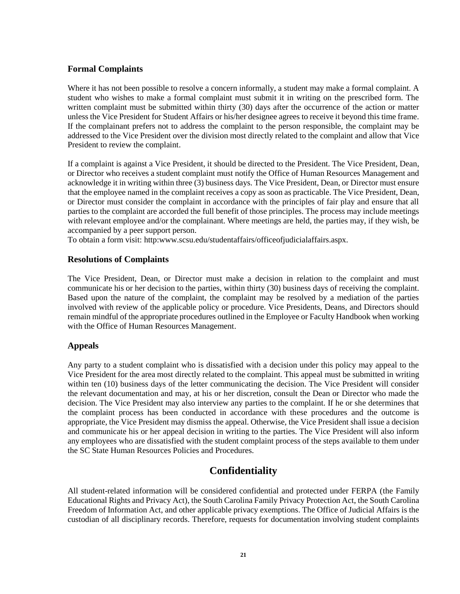#### **Formal Complaints**

Where it has not been possible to resolve a concern informally, a student may make a formal complaint. A student who wishes to make a formal complaint must submit it in writing on the prescribed form. The written complaint must be submitted within thirty (30) days after the occurrence of the action or matter unless the Vice President for Student Affairs or his/her designee agrees to receive it beyond this time frame. If the complainant prefers not to address the complaint to the person responsible, the complaint may be addressed to the Vice President over the division most directly related to the complaint and allow that Vice President to review the complaint.

If a complaint is against a Vice President, it should be directed to the President. The Vice President, Dean, or Director who receives a student complaint must notify the Office of Human Resources Management and acknowledge it in writing within three (3) business days. The Vice President, Dean, or Director must ensure that the employee named in the complaint receives a copy as soon as practicable. The Vice President, Dean, or Director must consider the complaint in accordance with the principles of fair play and ensure that all parties to the complaint are accorded the full benefit of those principles. The process may include meetings with relevant employee and/or the complainant. Where meetings are held, the parties may, if they wish, be accompanied by a peer support person.

To obtain a form visit: http:www.scsu.edu/studentaffairs/officeofjudicialaffairs.aspx.

#### **Resolutions of Complaints**

The Vice President, Dean, or Director must make a decision in relation to the complaint and must communicate his or her decision to the parties, within thirty (30) business days of receiving the complaint. Based upon the nature of the complaint, the complaint may be resolved by a mediation of the parties involved with review of the applicable policy or procedure. Vice Presidents, Deans, and Directors should remain mindful of the appropriate procedures outlined in the Employee or Faculty Handbook when working with the Office of Human Resources Management.

#### **Appeals**

Any party to a student complaint who is dissatisfied with a decision under this policy may appeal to the Vice President for the area most directly related to the complaint. This appeal must be submitted in writing within ten (10) business days of the letter communicating the decision. The Vice President will consider the relevant documentation and may, at his or her discretion, consult the Dean or Director who made the decision. The Vice President may also interview any parties to the complaint. If he or she determines that the complaint process has been conducted in accordance with these procedures and the outcome is appropriate, the Vice President may dismiss the appeal. Otherwise, the Vice President shall issue a decision and communicate his or her appeal decision in writing to the parties. The Vice President will also inform any employees who are dissatisfied with the student complaint process of the steps available to them under the SC State Human Resources Policies and Procedures.

## **Confidentiality**

All student-related information will be considered confidential and protected under FERPA (the Family Educational Rights and Privacy Act), the South Carolina Family Privacy Protection Act, the South Carolina Freedom of Information Act, and other applicable privacy exemptions. The Office of Judicial Affairs is the custodian of all disciplinary records. Therefore, requests for documentation involving student complaints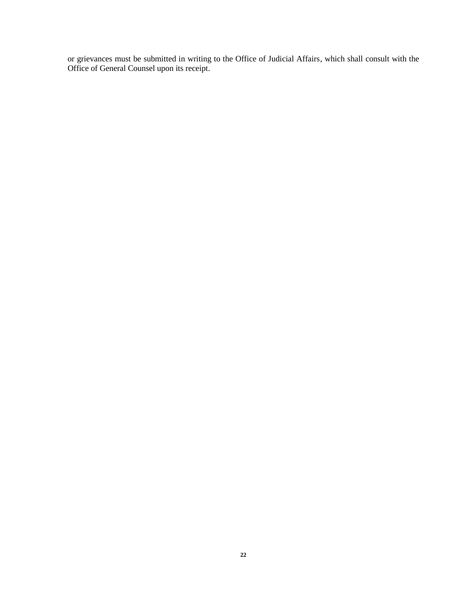or grievances must be submitted in writing to the Office of Judicial Affairs, which shall consult with the Office of General Counsel upon its receipt.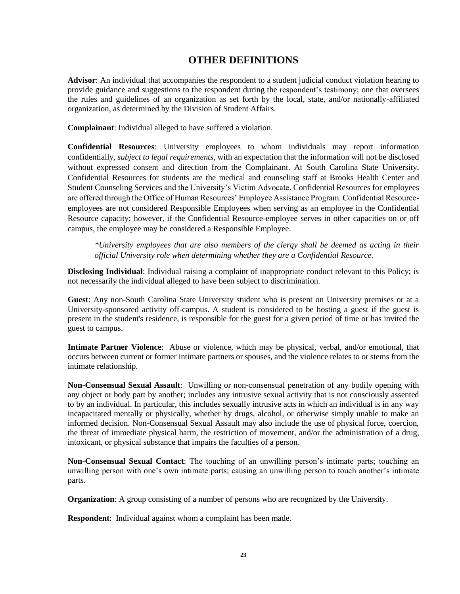## **OTHER DEFINITIONS**

**Advisor**: An individual that accompanies the respondent to a student judicial conduct violation hearing to provide guidance and suggestions to the respondent during the respondent's testimony; one that oversees the rules and guidelines of an organization as set forth by the local, state, and/or nationally-affiliated organization, as determined by the Division of Student Affairs.

**Complainant**: Individual alleged to have suffered a violation.

**Confidential Resources**: University employees to whom individuals may report information confidentially, *subject to legal requirements*, with an expectation that the information will not be disclosed without expressed consent and direction from the Complainant. At South Carolina State University, Confidential Resources for students are the medical and counseling staff at Brooks Health Center and Student Counseling Services and the University's Victim Advocate. Confidential Resources for employees are offered through the Office of Human Resources' Employee Assistance Program. Confidential Resourceemployees are not considered Responsible Employees when serving as an employee in the Confidential Resource capacity; however, if the Confidential Resource-employee serves in other capacities on or off campus, the employee may be considered a Responsible Employee.

*\*University employees that are also members of the clergy shall be deemed as acting in their official University role when determining whether they are a Confidential Resource.*

**Disclosing Individual**: Individual raising a complaint of inappropriate conduct relevant to this Policy; is not necessarily the individual alleged to have been subject to discrimination.

**Guest**: Any non-South Carolina State University student who is present on University premises or at a University-sponsored activity off-campus. A student is considered to be hosting a guest if the guest is present in the student's residence, is responsible for the guest for a given period of time or has invited the guest to campus.

**Intimate Partner Violence**: Abuse or violence, which may be physical, verbal, and/or emotional, that occurs between current or former intimate partners or spouses, and the violence relates to or stems from the intimate relationship.

**Non-Consensual Sexual Assault**: Unwilling or non-consensual penetration of any bodily opening with any object or body part by another; includes any intrusive sexual activity that is not consciously assented to by an individual. In particular, this includes sexually intrusive acts in which an individual is in any way incapacitated mentally or physically, whether by drugs, alcohol, or otherwise simply unable to make an informed decision. Non-Consensual Sexual Assault may also include the use of physical force, coercion, the threat of immediate physical harm, the restriction of movement, and/or the administration of a drug, intoxicant, or physical substance that impairs the faculties of a person.

**Non-Consensual Sexual Contact**: The touching of an unwilling person's intimate parts; touching an unwilling person with one's own intimate parts; causing an unwilling person to touch another's intimate parts.

**Organization**: A group consisting of a number of persons who are recognized by the University.

**Respondent**: Individual against whom a complaint has been made.